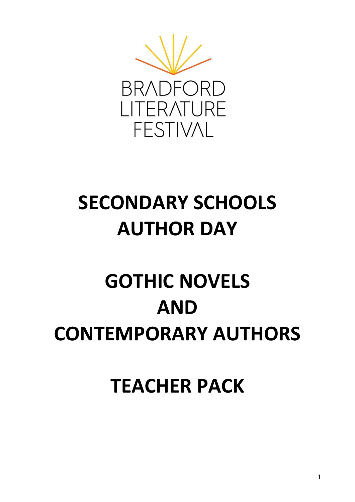

## **SECONDARY SCHOOLS AUTHOR DAY**

# **GOTHIC NOVELS AND CONTEMPORARY AUTHORS**

**TEACHER PACK**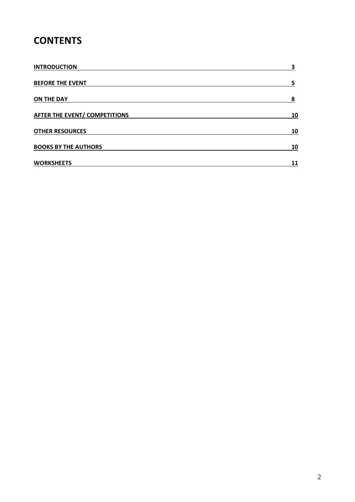## **CONTENTS**

| <b>INTRODUCTION</b>                  | 3  |
|--------------------------------------|----|
| <b>BEFORE THE EVENT</b>              |    |
| <b>ON THE DAY</b>                    | 8  |
| <b>AFTER THE EVENT/ COMPETITIONS</b> | 10 |
| <b>OTHER RESOURCES</b>               | 10 |
| <b>BOOKS BY THE AUTHORS</b>          | 10 |
| <b>WORKSHEETS</b>                    | 11 |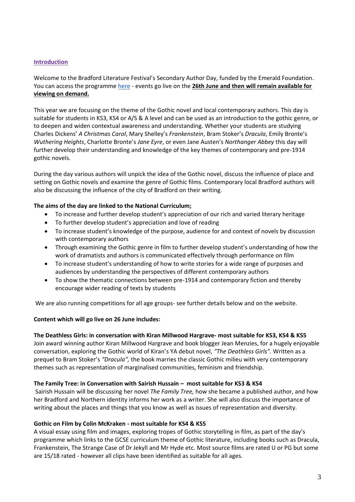#### **Introduction**

Welcome to the Bradford Literature Festival's Secondary Author Day, funded by the Emerald Foundation. You can access the programme [here](https://www.bradfordlitfest.co.uk/events/?date=2020-06-26&event_cat=secondary-school) - events go live on the **26th June and then will remain available for viewing on demand.**

This year we are focusing on the theme of the Gothic novel and local contemporary authors. This day is suitable for students in KS3, KS4 or A/S & A level and can be used as an introduction to the gothic genre, or to deepen and widen contextual awareness and understanding. Whether your students are studying Charles Dickens' *A Christmas Carol*, Mary Shelley's *Frankenstein*, Bram Stoker's *Dracula*, Emily Bronte's *Wuthering Heights*, Charlotte Bronte's *Jane Eyre*, or even Jane Austen's *Northanger Abbey* this day will further develop their understanding and knowledge of the key themes of contemporary and pre-1914 gothic novels.

During the day various authors will unpick the idea of the Gothic novel, discuss the influence of place and setting on Gothic novels and examine the genre of Gothic films. Contemporary local Bradford authors will also be discussing the influence of the city of Bradford on their writing.

#### **The aims of the day are linked to the National Curriculum;**

- To increase and further develop student's appreciation of our rich and varied literary heritage
- To further develop student's appreciation and love of reading
- To increase student's knowledge of the purpose, audience for and context of novels by discussion with contemporary authors
- Through examining the Gothic genre in film to further develop student's understanding of how the work of dramatists and authors is communicated effectively through performance on film
- To increase student's understanding of how to write stories for a wide range of purposes and audiences by understanding the perspectives of different contemporary authors
- To show the thematic connections between pre-1914 and contemporary fiction and thereby encourage wider reading of texts by students

We are also running competitions for all age groups- see further details below and on the website.

#### **Content which will go live on 26 June includes:**

**The Deathless Girls: in conversation with Kiran Millwood Hargrave- most suitable for KS3, KS4 & KS5** Join award winning author Kiran Millwood Hargrave and book blogger Jean Menzies, for a hugely enjoyable conversation, exploring the Gothic world of Kiran's YA debut novel, *"The Deathless Girls".* Written as a prequel to Bram Stoker's *"Dracula",* the book marries the classic Gothic milieu with very contemporary themes such as representation of marginalised communities, feminism and friendship.

#### **The Family Tree: in Conversation with Sairish Hussain – most suitable for KS3 & KS4**

Sairish Hussain will be discussing her novel *The Family Tree,* how she became a published author, and how her Bradford and Northern identity informs her work as a writer. She will also discuss the importance of writing about the places and things that you know as well as issues of representation and diversity.

#### **Gothic on Film by Colin McKraken - most suitable for KS4 & KS5**

A visual essay using film and images, exploring tropes of Gothic storytelling in film, as part of the day's programme which links to the GCSE curriculum theme of Gothic literature, including books such as Dracula, Frankenstein, The Strange Case of Dr Jekyll and Mr Hyde etc. Most source films are rated U or PG but some are 15/18 rated - however all clips have been identified as suitable for all ages.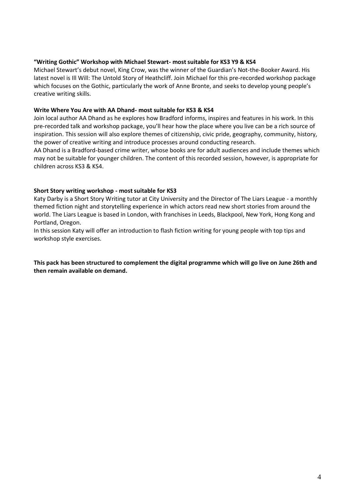#### **"Writing Gothic" Workshop with Michael Stewart- most suitable for KS3 Y9 & KS4**

Michael Stewart's debut novel, King Crow, was the winner of the Guardian's Not-the-Booker Award. His latest novel is Ill Will: The Untold Story of Heathcliff. Join Michael for this pre-recorded workshop package which focuses on the Gothic, particularly the work of Anne Bronte, and seeks to develop young people's creative writing skills.

#### **Write Where You Are with AA Dhand- most suitable for KS3 & KS4**

Join local author AA Dhand as he explores how Bradford informs, inspires and features in his work. In this pre-recorded talk and workshop package, you'll hear how the place where you live can be a rich source of inspiration. This session will also explore themes of citizenship, civic pride, geography, community, history, the power of creative writing and introduce processes around conducting research.

AA Dhand is a Bradford-based crime writer, whose books are for adult audiences and include themes which may not be suitable for younger children. The content of this recorded session, however, is appropriate for children across KS3 & KS4.

#### **Short Story writing workshop - most suitable for KS3**

Katy Darby is a Short Story Writing tutor at City University and the Director of The Liars League - a monthly themed fiction night and storytelling experience in which actors read new short stories from around the world. The Liars League is based in London, with franchises in Leeds, Blackpool, New York, Hong Kong and Portland, Oregon.

In this session Katy will offer an introduction to flash fiction writing for young people with top tips and workshop style exercises.

**This pack has been structured to complement the digital programme which will go live on June 26th and then remain available on demand.**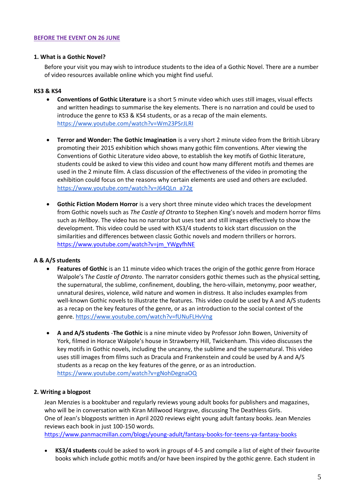#### **BEFORE THE EVENT ON 26 JUNE**

#### **1. What is a Gothic Novel?**

Before your visit you may wish to introduce students to the idea of a Gothic Novel. There are a number of video resources available online which you might find useful.

#### **KS3 & KS4**

- **Conventions of Gothic Literature** is a short 5 minute video which uses still images, visual effects and written headings to summarise the key elements. There is no narration and could be used to introduce the genre to KS3 & KS4 students, or as a recap of the main elements. <https://www.youtube.com/watch?v=Wm23PSrJLRI>
- **Terror and Wonder: The Gothic Imagination** is a very short 2 minute video from the British Library promoting their 2015 exhibition which shows many gothic film conventions. After viewing the Conventions of Gothic Literature video above, to establish the key motifs of Gothic literature, students could be asked to view this video and count how many different motifs and themes are used in the 2 minute film. A class discussion of the effectiveness of the video in promoting the exhibition could focus on the reasons why certain elements are used and others are excluded. [https://www.youtube.com/watch?v=J64QLn\\_a72g](https://www.youtube.com/watch?v=J64QLn_a72g)
- **Gothic Fiction Modern Horror** is a very short three minute video which traces the development from Gothic novels such as *The Castle of Otranto* to Stephen King's novels and modern horror films such as *Hellboy*. The video has no narrator but uses text and still images effectively to show the development. This video could be used with KS3/4 students to kick start discussion on the similarities and differences between classic Gothic novels and modern thrillers or horrors. [https://www.youtube.com/watch?v=jm\\_YWgyfhNE](https://www.youtube.com/watch?v=jm_YWgyfhNE)

#### **A & A/S students**

- **Features of Gothic** is an 11 minute video which traces the origin of the gothic genre from Horace Walpole's T*he Castle of Otranto*. The narrator considers gothic themes such as the physical setting, the supernatural, the sublime, confinement, doubling, the hero-villain, metonymy, poor weather, unnatural desires, violence, wild nature and women in distress. It also includes examples from well-known Gothic novels to illustrate the features. This video could be used by A and A/S students as a recap on the key features of the genre, or as an introduction to the social context of the genre.<https://www.youtube.com/watch?v=fUNuFLHvVng>
- **A and A/S students** -**The Gothic** is a nine minute video by Professor John Bowen, University of York, filmed in Horace Walpole's house in Strawberry Hill, Twickenham. This video discusses the key motifs in Gothic novels, including the uncanny, the sublime and the supernatural. This video uses still images from films such as Dracula and Frankenstein and could be used by A and A/S students as a recap on the key features of the genre, or as an introduction. <https://www.youtube.com/watch?v=gNohDegnaOQ>

#### **2. Writing a blogpost**

Jean Menzies is a booktuber and regularly reviews young adult books for publishers and magazines, who will be in conversation with Kiran Millwood Hargrave, discussing The Deathless Girls. One of Jean's blogposts written in April 2020 reviews eight young adult fantasy books. Jean Menzies reviews each book in just 100-150 words.

<https://www.panmacmillan.com/blogs/young-adult/fantasy-books-for-teens-ya-fantasy-books>

• **KS3/4 students** could be asked to work in groups of 4-5 and compile a list of eight of their favourite books which include gothic motifs and/or have been inspired by the gothic genre. Each student in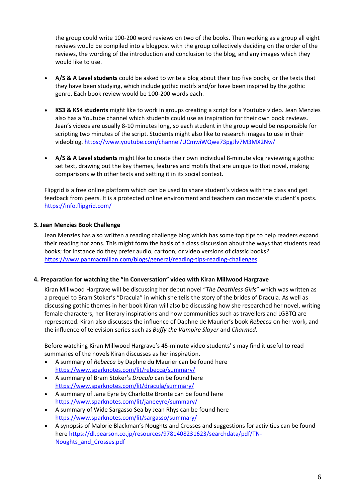the group could write 100-200 word reviews on two of the books. Then working as a group all eight reviews would be compiled into a blogpost with the group collectively deciding on the order of the reviews, the wording of the introduction and conclusion to the blog, and any images which they would like to use.

- **A/S & A Level students** could be asked to write a blog about their top five books, or the texts that they have been studying, which include gothic motifs and/or have been inspired by the gothic genre. Each book review would be 100-200 words each.
- **KS3 & KS4 students** might like to work in groups creating a script for a Youtube video. Jean Menzies also has a Youtube channel which students could use as inspiration for their own book reviews. Jean's videos are usually 8-10 minutes long, so each student in the group would be responsible for scripting two minutes of the script. Students might also like to research images to use in their videoblog.<https://www.youtube.com/channel/UCmwiWQwe73pgJlv7M3MX2Nw/>
- **A/S & A Level students** might like to create their own individual 8-minute vlog reviewing a gothic set text, drawing out the key themes, features and motifs that are unique to that novel, making comparisons with other texts and setting it in its social context.

Flipgrid is a free online platform which can be used to share student's videos with the class and get feedback from peers. It is a protected online environment and teachers can moderate student's posts. <https://info.flipgrid.com/>

#### **3. Jean Menzies Book Challenge**

Jean Menzies has also written a reading challenge blog which has some top tips to help readers expand their reading horizons. This might form the basis of a class discussion about the ways that students read books; for instance do they prefer audio, cartoon, or video versions of classic books? <https://www.panmacmillan.com/blogs/general/reading-tips-reading-challenges>

#### **4. Preparation for watching the "In Conversation" video with Kiran Millwood Hargrave**

Kiran Millwood Hargrave will be discussing her debut novel "*The Deathless Girls*" which was written as a prequel to Bram Stoker's "Dracula" in which she tells the story of the brides of Dracula. As well as discussing gothic themes in her book Kiran will also be discussing how she researched her novel, writing female characters, her literary inspirations and how communities such as travellers and LGBTQ are represented. Kiran also discusses the influence of Daphne de Maurier's book *Rebecca* on her work, and the influence of television series such as *Buffy the Vampire Slayer* and *Charmed*.

Before watching Kiran Millwood Hargrave's 45-minute video students' s may find it useful to read summaries of the novels Kiran discusses as her inspiration.

- A summary of *Rebecca* by Daphne du Maurier can be found here <https://www.sparknotes.com/lit/rebecca/summary/>
- A summary of Bram Stoker's *Dracula* can be found here <https://www.sparknotes.com/lit/dracula/summary/>
- A summary of Jane Eyre by Charlotte Bronte can be found here https://www.sparknotes.com/lit/janeeyre/summary/
- A summary of Wide Sargasso Sea by Jean Rhys can be found here <https://www.sparknotes.com/lit/sargasso/summary/>
- A synopsis of Malorie Blackman's Noughts and Crosses and suggestions for activities can be found here [https://dl.pearson.co.jp/resources/9781408231623/searchdata/pdf/TN-](https://dl.pearson.co.jp/resources/9781408231623/searchdata/pdf/TN-Noughts_and_Crosses.pdf)Noughts and Crosses.pdf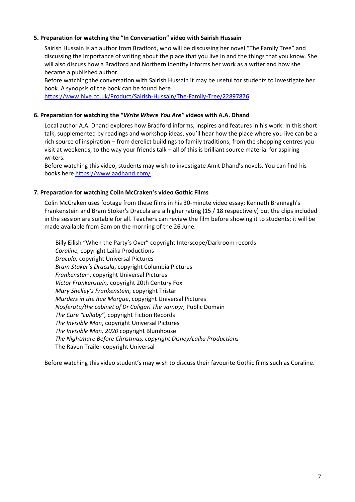#### **5. Preparation for watching the "In Conversation" video with Sairish Hussain**

Sairish Hussain is an author from Bradford, who will be discussing her novel "The Family Tree" and discussing the importance of writing about the place that you live in and the things that you know. She will also discuss how a Bradford and Northern identity informs her work as a writer and how she became a published author.

Before watching the conversation with Sairish Hussain it may be useful for students to investigate her book. A synopsis of the book can be found here

<https://www.hive.co.uk/Product/Sairish-Hussain/The-Family-Tree/22897876>

#### **6. Preparation for watching the "***Write Where You Are"* **videos with A.A. Dhand**

Local author A.A. Dhand explores how Bradford informs, inspires and features in his work. In this short talk, supplemented by readings and workshop ideas, you'll hear how the place where you live can be a rich source of inspiration – from derelict buildings to family traditions; from the shopping centres you visit at weekends, to the way your friends talk – all of this is brilliant source material for aspiring writers.

Before watching this video, students may wish to investigate Amit Dhand's novels. You can find his books here<https://www.aadhand.com/>

#### **7. Preparation for watching Colin McCraken's video Gothic Films**

Colin McCraken uses footage from these films in his 30-minute video essay; Kenneth Brannagh's Frankenstein and Bram Stoker's Dracula are a higher rating (15 / 18 respectively) but the clips included in the session are suitable for all. Teachers can review the film before showing it to students; it will be made available from 8am on the morning of the 26 June.

Billy Eilish "When the Party's Over" copyright Interscope/Darkroom records *Coraline,* copyright Laika Productions *Dracula,* copyright Universal Pictures *Bram Stoker's Dracula*, copyright Columbia Pictures *Frankenstei*n, copyright Universal Pictures *Victor Frankenstein,* copyright 20th Century Fox *Mary Shelley's Frankenstein,* copyright Tristar *Murders in the Rue Morgue*, copyright Universal Pictures *Nosferatu/the cabinet of Dr Caligari The vampyr,* Public Domain *The Cure "Lullaby",* copyright Fiction Records *The Invisible Man*, copyright Universal Pictures *The Invisible Man, 2020* copyright Blumhouse *The Nightmare Before Christmas, copyright Disney/Laika Productions* The Raven Trailer copyright Universal

Before watching this video student's may wish to discuss their favourite Gothic films such as Coraline.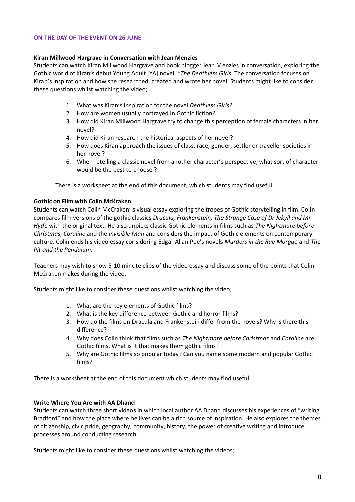#### **ON THE DAY OF THE EVENT ON 26 JUNE**

#### **Kiran Millwood Hargrave in Conversation with Jean Menzies**

Students can watch Kiran Millwood Hargrave and book blogger Jean Menzies in conversation, exploring the Gothic world of Kiran's debut Young Adult [YA] novel, *"The Deathless Girls*. The conversation focuses on Kiran's inspiration and how she researched, created and wrote her novel. Students might like to consider these questions whilst watching the video;

- 1. What was Kiran's inspiration for the novel *Deathless Girls*?
- 2. How are women usually portrayed in Gothic fiction?
- 3. How did Kiran Millwood Hargrave try to change this perception of female characters in her novel?
- 4. How did Kiran research the historical aspects of her novel?
- 5. How does Kiran approach the issues of class, race, gender, settler or traveller societies in her novel?
- 6. When retelling a classic novel from another character's perspective, what sort of character would be the best to choose ?

There is a worksheet at the end of this document, which students may find useful

#### **Gothic on Film with Colin McKraken**

Students can watch Colin McCraken' s visual essay exploring the tropes of Gothic storytelling in film. Colin compares film versions of the gothic classics *Dracula, Frankenstein, The Strange Case of Dr Jekyll and Mr Hyde* with the original text. He also unpicks classic Gothic elements in films such as *The Nightmare before Christmas, Coraline* and the *Invisible Man* and considers the impact of Gothic elements on contemporary culture. Colin ends his video essay considering Edgar Allan Poe's novels *Murders in the Rue Morgue* and *The Pit and the Pendulum.*

Teachers may wish to show 5-10 minute clips of the video essay and discuss some of the points that Colin McCraken makes during the video.

Students might like to consider these questions whilst watching the video;

- 1. What are the key elements of Gothic films?
- 2. What is the key difference between Gothic and horror films?
- 3. How do the films on Dracula and Frankenstein differ from the novels? Why is there this difference?
- 4. Why does Colin think that films such as *The Nightmare before Christmas* and *Coraline* are Gothic films. What is it that makes them gothic films?
- 5. Why are Gothic films so popular today? Can you name some modern and popular Gothic films?

There is a worksheet at the end of this document which students may find useful

#### **Write Where You Are with AA Dhand**

Students can watch three short videos in which local author AA Dhand discusses his experiences of "writing Bradford" and how the place where he lives can be a rich source of inspiration. He also explores the themes of citizenship, civic pride, geography, community, history, the power of creative writing and introduce processes around conducting research.

Students might like to consider these questions whilst watching the videos;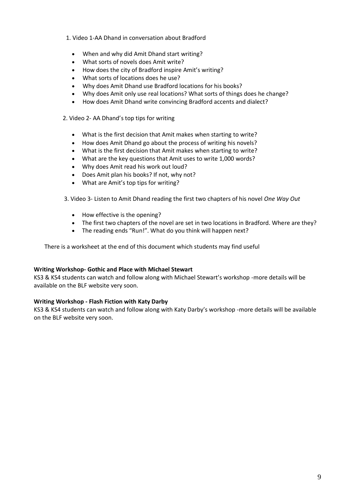1. Video 1-AA Dhand in conversation about Bradford

- When and why did Amit Dhand start writing?
- What sorts of novels does Amit write?
- How does the city of Bradford inspire Amit's writing?
- What sorts of locations does he use?
- Why does Amit Dhand use Bradford locations for his books?
- Why does Amit only use real locations? What sorts of things does he change?
- How does Amit Dhand write convincing Bradford accents and dialect?
- 2. Video 2- AA Dhand's top tips for writing
	- What is the first decision that Amit makes when starting to write?
	- How does Amit Dhand go about the process of writing his novels?
	- What is the first decision that Amit makes when starting to write?
	- What are the key questions that Amit uses to write 1,000 words?
	- Why does Amit read his work out loud?
	- Does Amit plan his books? If not, why not?
	- What are Amit's top tips for writing?
- 3. Video 3- Listen to Amit Dhand reading the first two chapters of his novel *One Way Out*
	- How effective is the opening?
	- The first two chapters of the novel are set in two locations in Bradford. Where are they?
	- The reading ends "Run!". What do you think will happen next?

There is a worksheet at the end of this document which students may find useful

#### **Writing Workshop- Gothic and Place with Michael Stewart**

KS3 & KS4 students can watch and follow along with Michael Stewart's workshop -more details will be available on the BLF website very soon.

#### **Writing Workshop - Flash Fiction with Katy Darby**

KS3 & KS4 students can watch and follow along with Katy Darby's workshop -more details will be available on the BLF website very soon.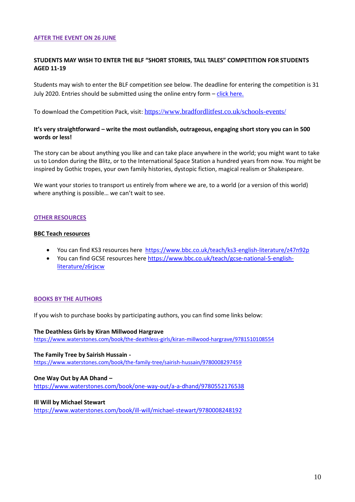#### **AFTER THE EVENT ON 26 JUNE**

#### **STUDENTS MAY WISH TO ENTER THE BLF "SHORT STORIES, TALL TALES" COMPETITION FOR STUDENTS AGED 11-19**

Students may wish to enter the BLF competition see below. The deadline for entering the competition is 31 July 2020. Entries should be submitted using the online entry form  $-\frac{\text{click here}}{\text{click here}}$ .

To download the Competition Pack, visit: <https://www.bradfordlitfest.co.uk/schools-events/>

#### **It's very straightforward – write the most outlandish, outrageous, engaging short story you can in 500 words or less!**

The story can be about anything you like and can take place anywhere in the world; you might want to take us to London during the Blitz, or to the International Space Station a hundred years from now. You might be inspired by Gothic tropes, your own family histories, dystopic fiction, magical realism or Shakespeare.

We want your stories to transport us entirely from where we are, to a world (or a version of this world) where anything is possible… we can't wait to see.

#### **OTHER RESOURCES**

#### **BBC Teach resources**

- You can find KS3 resources here <https://www.bbc.co.uk/teach/ks3-english-literature/z47n92p>
- You can find GCSE resources here [https://www.bbc.co.uk/teach/gcse-national-5-english](https://www.bbc.co.uk/teach/gcse-national-5-english-literature/z6rjscw)[literature/z6rjscw](https://www.bbc.co.uk/teach/gcse-national-5-english-literature/z6rjscw)

#### **BOOKS BY THE AUTHORS**

If you wish to purchase books by participating authors, you can find some links below:

#### **The Deathless Girls by [Kiran Millwood Hargrave](https://www.kiranmillwoodhargrave.co.uk/)**

<https://www.waterstones.com/book/the-deathless-girls/kiran-millwood-hargrave/9781510108554>

#### **The Family Tree by Sairish Hussain -**

<https://www.waterstones.com/book/the-family-tree/sairish-hussain/9780008297459>

#### **One Way Out by AA Dhand –**

<https://www.waterstones.com/book/one-way-out/a-a-dhand/9780552176538>

#### **Ill Will by Michael Stewart**

<https://www.waterstones.com/book/ill-will/michael-stewart/9780008248192>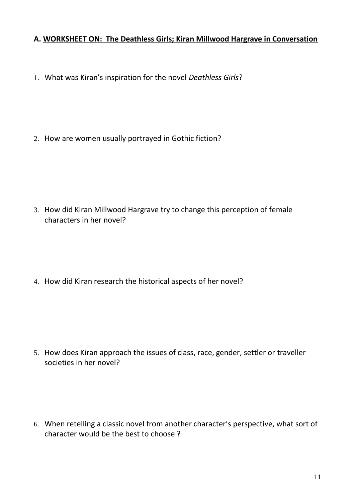## **A. WORKSHEET ON: The Deathless Girls; Kiran Millwood Hargrave in Conversation**

1. What was Kiran's inspiration for the novel *Deathless Girls*?

2. How are women usually portrayed in Gothic fiction?

3. How did Kiran Millwood Hargrave try to change this perception of female characters in her novel?

4. How did Kiran research the historical aspects of her novel?

5. How does Kiran approach the issues of class, race, gender, settler or traveller societies in her novel?

6. When retelling a classic novel from another character's perspective, what sort of character would be the best to choose ?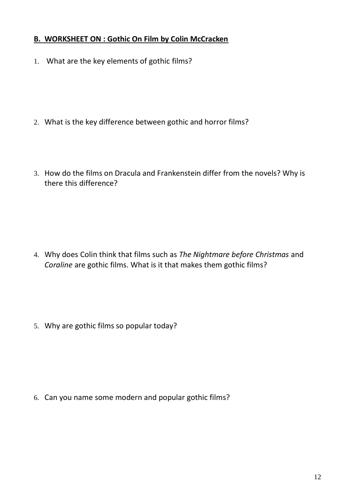## **B. WORKSHEET ON : Gothic On Film by Colin McCracken**

1. What are the key elements of gothic films?

- 2. What is the key difference between gothic and horror films?
- 3. How do the films on Dracula and Frankenstein differ from the novels? Why is there this difference?

4. Why does Colin think that films such as *The Nightmare before Christmas* and *Coraline* are gothic films. What is it that makes them gothic films?

5. Why are gothic films so popular today?

6. Can you name some modern and popular gothic films?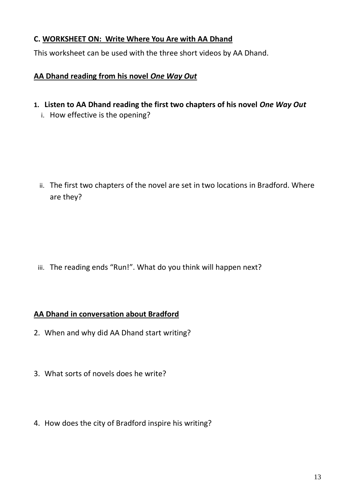## **C. WORKSHEET ON: Write Where You Are with AA Dhand**

This worksheet can be used with the three short videos by AA Dhand.

## **AA Dhand reading from his novel** *One Way Out*

- **1. Listen to AA Dhand reading the first two chapters of his novel** *One Way Out*
	- i. How effective is the opening?

ii. The first two chapters of the novel are set in two locations in Bradford. Where are they?

iii. The reading ends "Run!". What do you think will happen next?

## **AA Dhand in conversation about Bradford**

- 2. When and why did AA Dhand start writing?
- 3. What sorts of novels does he write?
- 4. How does the city of Bradford inspire his writing?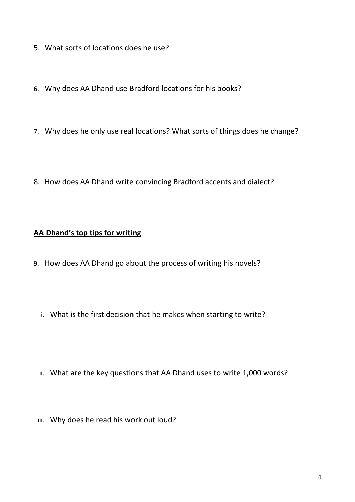- 5. What sorts of locations does he use?
- 6. Why does AA Dhand use Bradford locations for his books?
- 7. Why does he only use real locations? What sorts of things does he change?
- 8. How does AA Dhand write convincing Bradford accents and dialect?

### **AA Dhand's top tips for writing**

- 9. How does AA Dhand go about the process of writing his novels?
	- i. What is the first decision that he makes when starting to write?
	- ii. What are the key questions that AA Dhand uses to write 1,000 words?
	- iii. Why does he read his work out loud?